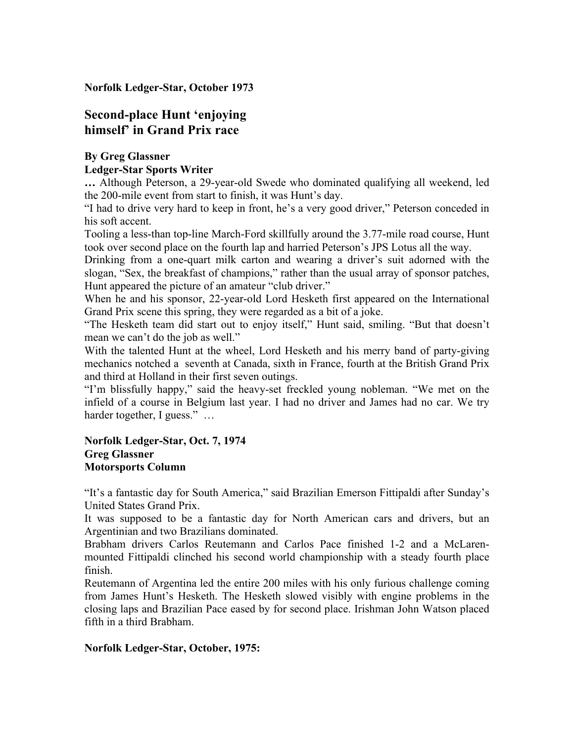**Norfolk Ledger-Star, October 1973**

# **Second-place Hunt 'enjoying himself' in Grand Prix race**

### **By Greg Glassner Ledger-Star Sports Writer**

**…** Although Peterson, a 29-year-old Swede who dominated qualifying all weekend, led the 200-mile event from start to finish, it was Hunt's day.

"I had to drive very hard to keep in front, he's a very good driver," Peterson conceded in his soft accent.

Tooling a less-than top-line March-Ford skillfully around the 3.77-mile road course, Hunt took over second place on the fourth lap and harried Peterson's JPS Lotus all the way.

Drinking from a one-quart milk carton and wearing a driver's suit adorned with the slogan, "Sex, the breakfast of champions," rather than the usual array of sponsor patches, Hunt appeared the picture of an amateur "club driver."

When he and his sponsor, 22-year-old Lord Hesketh first appeared on the International Grand Prix scene this spring, they were regarded as a bit of a joke.

"The Hesketh team did start out to enjoy itself," Hunt said, smiling. "But that doesn't mean we can't do the job as well."

With the talented Hunt at the wheel, Lord Hesketh and his merry band of party-giving mechanics notched a seventh at Canada, sixth in France, fourth at the British Grand Prix and third at Holland in their first seven outings.

"I'm blissfully happy," said the heavy-set freckled young nobleman. "We met on the infield of a course in Belgium last year. I had no driver and James had no car. We try harder together, I guess." ...

#### **Norfolk Ledger-Star, Oct. 7, 1974 Greg Glassner Motorsports Column**

"It's a fantastic day for South America," said Brazilian Emerson Fittipaldi after Sunday's United States Grand Prix.

It was supposed to be a fantastic day for North American cars and drivers, but an Argentinian and two Brazilians dominated.

Brabham drivers Carlos Reutemann and Carlos Pace finished 1-2 and a McLarenmounted Fittipaldi clinched his second world championship with a steady fourth place finish.

Reutemann of Argentina led the entire 200 miles with his only furious challenge coming from James Hunt's Hesketh. The Hesketh slowed visibly with engine problems in the closing laps and Brazilian Pace eased by for second place. Irishman John Watson placed fifth in a third Brabham.

## **Norfolk Ledger-Star, October, 1975:**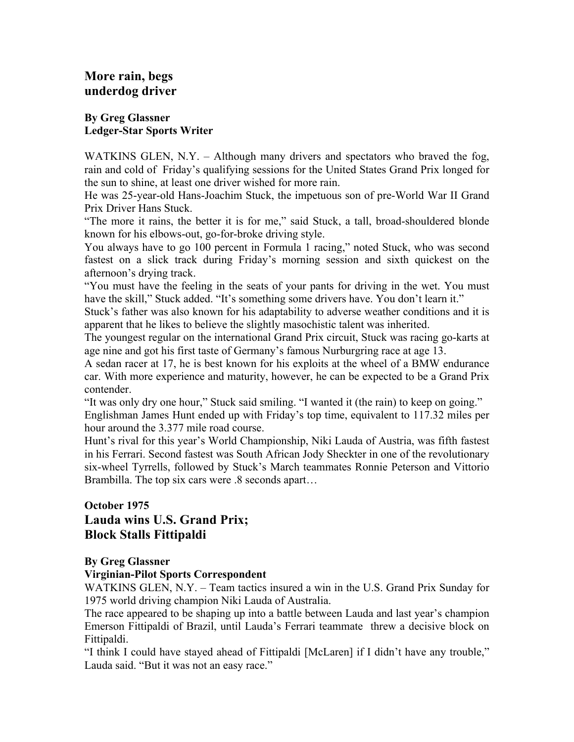# **More rain, begs underdog driver**

### **By Greg Glassner Ledger-Star Sports Writer**

WATKINS GLEN, N.Y. – Although many drivers and spectators who braved the fog, rain and cold of Friday's qualifying sessions for the United States Grand Prix longed for the sun to shine, at least one driver wished for more rain.

He was 25-year-old Hans-Joachim Stuck, the impetuous son of pre-World War II Grand Prix Driver Hans Stuck.

"The more it rains, the better it is for me," said Stuck, a tall, broad-shouldered blonde known for his elbows-out, go-for-broke driving style.

You always have to go 100 percent in Formula 1 racing," noted Stuck, who was second fastest on a slick track during Friday's morning session and sixth quickest on the afternoon's drying track.

"You must have the feeling in the seats of your pants for driving in the wet. You must have the skill," Stuck added. "It's something some drivers have. You don't learn it."

Stuck's father was also known for his adaptability to adverse weather conditions and it is apparent that he likes to believe the slightly masochistic talent was inherited.

The youngest regular on the international Grand Prix circuit, Stuck was racing go-karts at age nine and got his first taste of Germany's famous Nurburgring race at age 13.

A sedan racer at 17, he is best known for his exploits at the wheel of a BMW endurance car. With more experience and maturity, however, he can be expected to be a Grand Prix contender.

"It was only dry one hour," Stuck said smiling. "I wanted it (the rain) to keep on going."

Englishman James Hunt ended up with Friday's top time, equivalent to 117.32 miles per hour around the 3.377 mile road course.

Hunt's rival for this year's World Championship, Niki Lauda of Austria, was fifth fastest in his Ferrari. Second fastest was South African Jody Sheckter in one of the revolutionary six-wheel Tyrrells, followed by Stuck's March teammates Ronnie Peterson and Vittorio Brambilla. The top six cars were .8 seconds apart…

# **October 1975 Lauda wins U.S. Grand Prix; Block Stalls Fittipaldi**

# **By Greg Glassner**

## **Virginian-Pilot Sports Correspondent**

WATKINS GLEN, N.Y. – Team tactics insured a win in the U.S. Grand Prix Sunday for 1975 world driving champion Niki Lauda of Australia.

The race appeared to be shaping up into a battle between Lauda and last year's champion Emerson Fittipaldi of Brazil, until Lauda's Ferrari teammate threw a decisive block on Fittipaldi.

"I think I could have stayed ahead of Fittipaldi [McLaren] if I didn't have any trouble," Lauda said. "But it was not an easy race."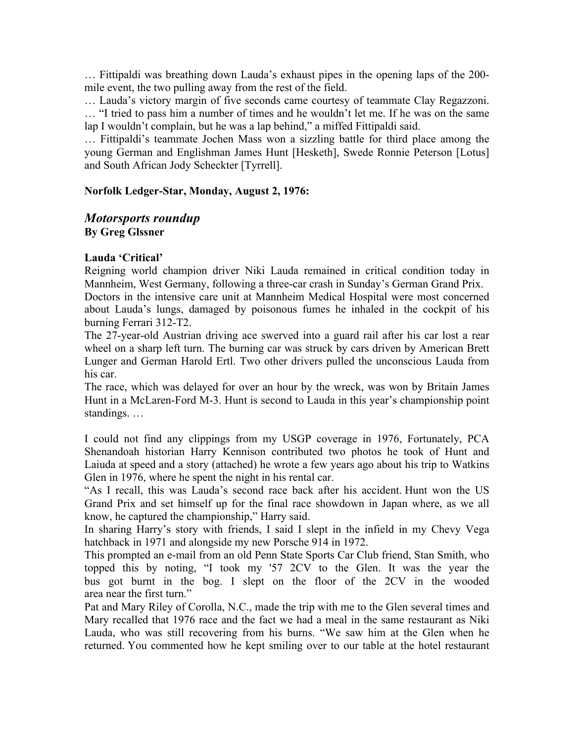… Fittipaldi was breathing down Lauda's exhaust pipes in the opening laps of the 200 mile event, the two pulling away from the rest of the field.

… Lauda's victory margin of five seconds came courtesy of teammate Clay Regazzoni. … "I tried to pass him a number of times and he wouldn't let me. If he was on the same lap I wouldn't complain, but he was a lap behind," a miffed Fittipaldi said.

… Fittipaldi's teammate Jochen Mass won a sizzling battle for third place among the young German and Englishman James Hunt [Hesketh], Swede Ronnie Peterson [Lotus] and South African Jody Scheckter [Tyrrell].

### **Norfolk Ledger-Star, Monday, August 2, 1976:**

## *Motorsports roundup* **By Greg Glssner**

## **Lauda 'Critical'**

Reigning world champion driver Niki Lauda remained in critical condition today in Mannheim, West Germany, following a three-car crash in Sunday's German Grand Prix.

Doctors in the intensive care unit at Mannheim Medical Hospital were most concerned about Lauda's lungs, damaged by poisonous fumes he inhaled in the cockpit of his burning Ferrari 312-T2.

The 27-year-old Austrian driving ace swerved into a guard rail after his car lost a rear wheel on a sharp left turn. The burning car was struck by cars driven by American Brett Lunger and German Harold Ertl. Two other drivers pulled the unconscious Lauda from his car.

The race, which was delayed for over an hour by the wreck, was won by Britain James Hunt in a McLaren-Ford M-3. Hunt is second to Lauda in this year's championship point standings. …

I could not find any clippings from my USGP coverage in 1976, Fortunately, PCA Shenandoah historian Harry Kennison contributed two photos he took of Hunt and Laiuda at speed and a story (attached) he wrote a few years ago about his trip to Watkins Glen in 1976, where he spent the night in his rental car.

"As I recall, this was Lauda's second race back after his accident. Hunt won the US Grand Prix and set himself up for the final race showdown in Japan where, as we all know, he captured the championship," Harry said.

In sharing Harry's story with friends, I said I slept in the infield in my Chevy Vega hatchback in 1971 and alongside my new Porsche 914 in 1972.

This prompted an e-mail from an old Penn State Sports Car Club friend, Stan Smith, who topped this by noting, "I took my '57 2CV to the Glen. It was the year the bus got burnt in the bog. I slept on the floor of the 2CV in the wooded area near the first turn."

Pat and Mary Riley of Corolla, N.C., made the trip with me to the Glen several times and Mary recalled that 1976 race and the fact we had a meal in the same restaurant as Niki Lauda, who was still recovering from his burns. "We saw him at the Glen when he returned. You commented how he kept smiling over to our table at the hotel restaurant